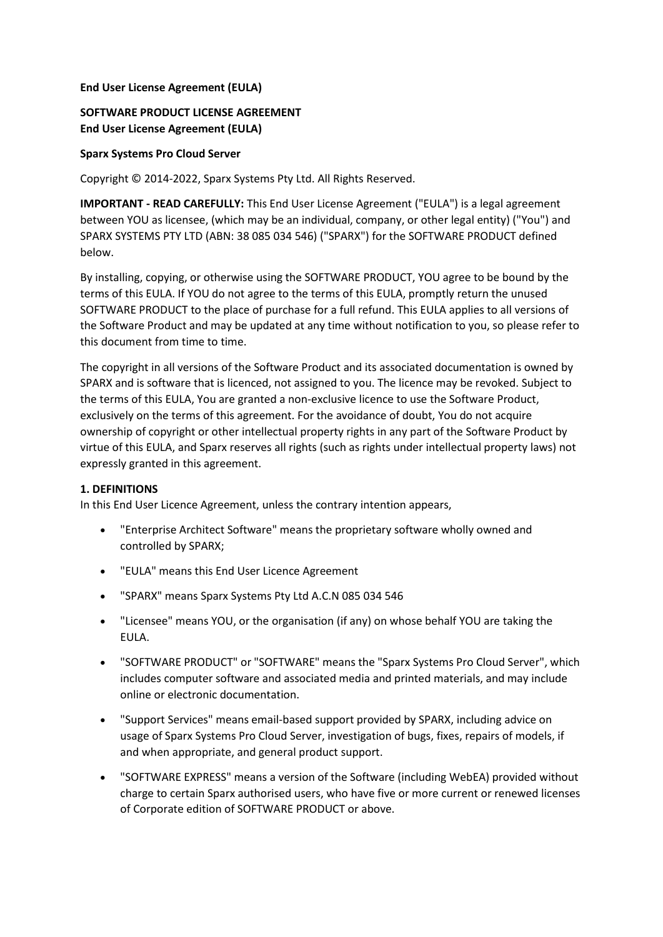#### **End User License Agreement (EULA)**

# **SOFTWARE PRODUCT LICENSE AGREEMENT End User License Agreement (EULA)**

#### **Sparx Systems Pro Cloud Server**

Copyright © 2014-2022, Sparx Systems Pty Ltd. All Rights Reserved.

**IMPORTANT - READ CAREFULLY:** This End User License Agreement ("EULA") is a legal agreement between YOU as licensee, (which may be an individual, company, or other legal entity) ("You") and SPARX SYSTEMS PTY LTD (ABN: 38 085 034 546) ("SPARX") for the SOFTWARE PRODUCT defined below.

By installing, copying, or otherwise using the SOFTWARE PRODUCT, YOU agree to be bound by the terms of this EULA. If YOU do not agree to the terms of this EULA, promptly return the unused SOFTWARE PRODUCT to the place of purchase for a full refund. This EULA applies to all versions of the Software Product and may be updated at any time without notification to you, so please refer to this document from time to time.

The copyright in all versions of the Software Product and its associated documentation is owned by SPARX and is software that is licenced, not assigned to you. The licence may be revoked. Subject to the terms of this EULA, You are granted a non-exclusive licence to use the Software Product, exclusively on the terms of this agreement. For the avoidance of doubt, You do not acquire ownership of copyright or other intellectual property rights in any part of the Software Product by virtue of this EULA, and Sparx reserves all rights (such as rights under intellectual property laws) not expressly granted in this agreement.

#### **1. DEFINITIONS**

In this End User Licence Agreement, unless the contrary intention appears,

- "Enterprise Architect Software" means the proprietary software wholly owned and controlled by SPARX;
- "EULA" means this End User Licence Agreement
- "SPARX" means Sparx Systems Pty Ltd A.C.N 085 034 546
- "Licensee" means YOU, or the organisation (if any) on whose behalf YOU are taking the EULA.
- "SOFTWARE PRODUCT" or "SOFTWARE" means the "Sparx Systems Pro Cloud Server", which includes computer software and associated media and printed materials, and may include online or electronic documentation.
- "Support Services" means email-based support provided by SPARX, including advice on usage of Sparx Systems Pro Cloud Server, investigation of bugs, fixes, repairs of models, if and when appropriate, and general product support.
- "SOFTWARE EXPRESS" means a version of the Software (including WebEA) provided without charge to certain Sparx authorised users, who have five or more current or renewed licenses of Corporate edition of SOFTWARE PRODUCT or above.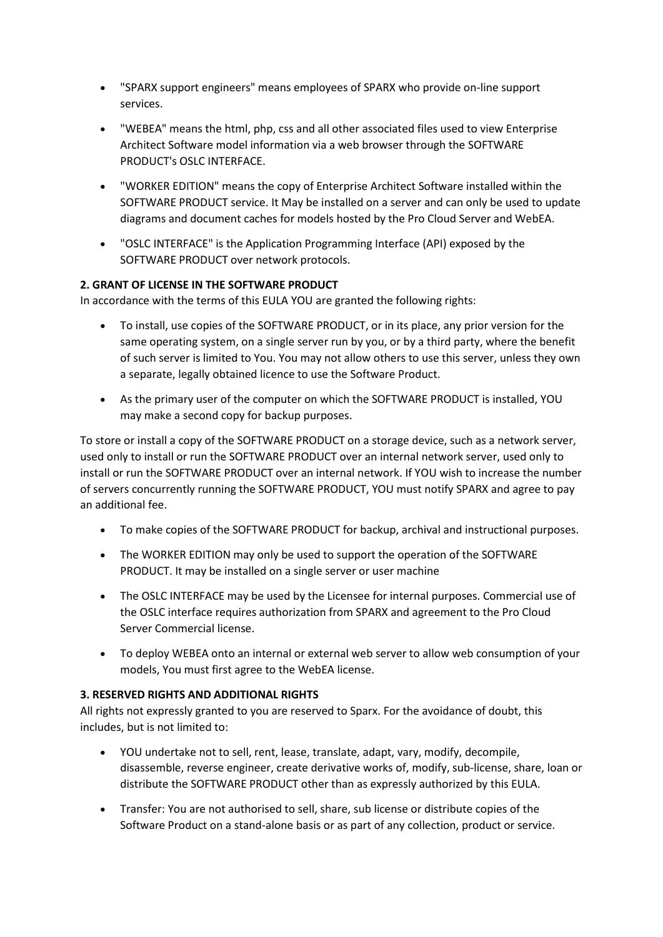- "SPARX support engineers" means employees of SPARX who provide on-line support services.
- "WEBEA" means the html, php, css and all other associated files used to view Enterprise Architect Software model information via a web browser through the SOFTWARE PRODUCT's OSLC INTERFACE.
- "WORKER EDITION" means the copy of Enterprise Architect Software installed within the SOFTWARE PRODUCT service. It May be installed on a server and can only be used to update diagrams and document caches for models hosted by the Pro Cloud Server and WebEA.
- "OSLC INTERFACE" is the Application Programming Interface (API) exposed by the SOFTWARE PRODUCT over network protocols.

# **2. GRANT OF LICENSE IN THE SOFTWARE PRODUCT**

In accordance with the terms of this EULA YOU are granted the following rights:

- To install, use copies of the SOFTWARE PRODUCT, or in its place, any prior version for the same operating system, on a single server run by you, or by a third party, where the benefit of such server is limited to You. You may not allow others to use this server, unless they own a separate, legally obtained licence to use the Software Product.
- As the primary user of the computer on which the SOFTWARE PRODUCT is installed, YOU may make a second copy for backup purposes.

To store or install a copy of the SOFTWARE PRODUCT on a storage device, such as a network server, used only to install or run the SOFTWARE PRODUCT over an internal network server, used only to install or run the SOFTWARE PRODUCT over an internal network. If YOU wish to increase the number of servers concurrently running the SOFTWARE PRODUCT, YOU must notify SPARX and agree to pay an additional fee.

- To make copies of the SOFTWARE PRODUCT for backup, archival and instructional purposes.
- The WORKER EDITION may only be used to support the operation of the SOFTWARE PRODUCT. It may be installed on a single server or user machine
- The OSLC INTERFACE may be used by the Licensee for internal purposes. Commercial use of the OSLC interface requires authorization from SPARX and agreement to the Pro Cloud Server Commercial license.
- To deploy WEBEA onto an internal or external web server to allow web consumption of your models, You must first agree to the WebEA license.

## **3. RESERVED RIGHTS AND ADDITIONAL RIGHTS**

All rights not expressly granted to you are reserved to Sparx. For the avoidance of doubt, this includes, but is not limited to:

- YOU undertake not to sell, rent, lease, translate, adapt, vary, modify, decompile, disassemble, reverse engineer, create derivative works of, modify, sub-license, share, loan or distribute the SOFTWARE PRODUCT other than as expressly authorized by this EULA.
- Transfer: You are not authorised to sell, share, sub license or distribute copies of the Software Product on a stand-alone basis or as part of any collection, product or service.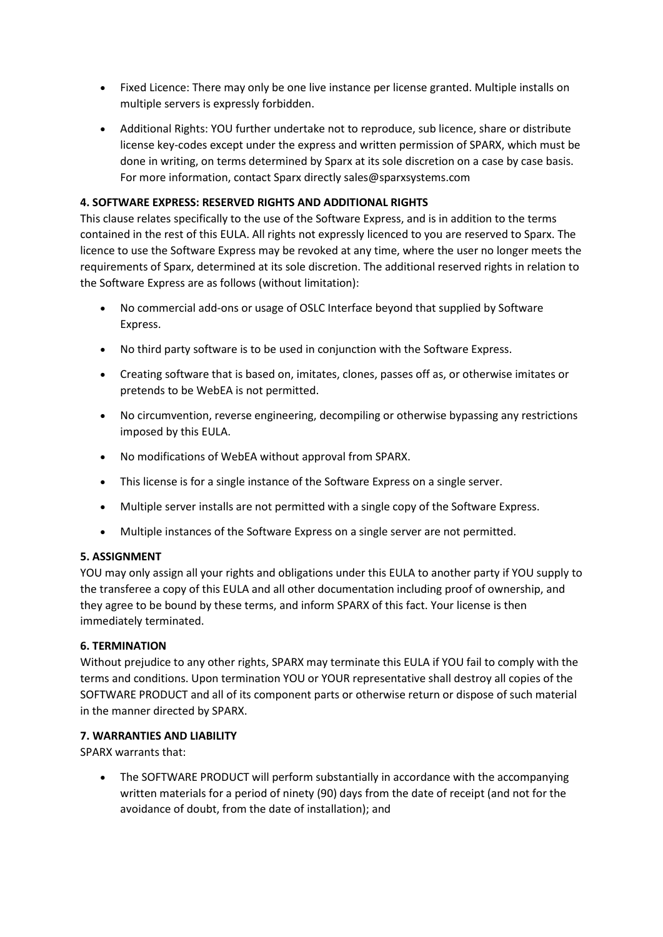- Fixed Licence: There may only be one live instance per license granted. Multiple installs on multiple servers is expressly forbidden.
- Additional Rights: YOU further undertake not to reproduce, sub licence, share or distribute license key-codes except under the express and written permission of SPARX, which must be done in writing, on terms determined by Sparx at its sole discretion on a case by case basis. For more information, contact Sparx directly sales@sparxsystems.com

## **4. SOFTWARE EXPRESS: RESERVED RIGHTS AND ADDITIONAL RIGHTS**

This clause relates specifically to the use of the Software Express, and is in addition to the terms contained in the rest of this EULA. All rights not expressly licenced to you are reserved to Sparx. The licence to use the Software Express may be revoked at any time, where the user no longer meets the requirements of Sparx, determined at its sole discretion. The additional reserved rights in relation to the Software Express are as follows (without limitation):

- No commercial add-ons or usage of OSLC Interface beyond that supplied by Software Express.
- No third party software is to be used in conjunction with the Software Express.
- Creating software that is based on, imitates, clones, passes off as, or otherwise imitates or pretends to be WebEA is not permitted.
- No circumvention, reverse engineering, decompiling or otherwise bypassing any restrictions imposed by this EULA.
- No modifications of WebEA without approval from SPARX.
- This license is for a single instance of the Software Express on a single server.
- Multiple server installs are not permitted with a single copy of the Software Express.
- Multiple instances of the Software Express on a single server are not permitted.

## **5. ASSIGNMENT**

YOU may only assign all your rights and obligations under this EULA to another party if YOU supply to the transferee a copy of this EULA and all other documentation including proof of ownership, and they agree to be bound by these terms, and inform SPARX of this fact. Your license is then immediately terminated.

## **6. TERMINATION**

Without prejudice to any other rights, SPARX may terminate this EULA if YOU fail to comply with the terms and conditions. Upon termination YOU or YOUR representative shall destroy all copies of the SOFTWARE PRODUCT and all of its component parts or otherwise return or dispose of such material in the manner directed by SPARX.

## **7. WARRANTIES AND LIABILITY**

SPARX warrants that:

• The SOFTWARE PRODUCT will perform substantially in accordance with the accompanying written materials for a period of ninety (90) days from the date of receipt (and not for the avoidance of doubt, from the date of installation); and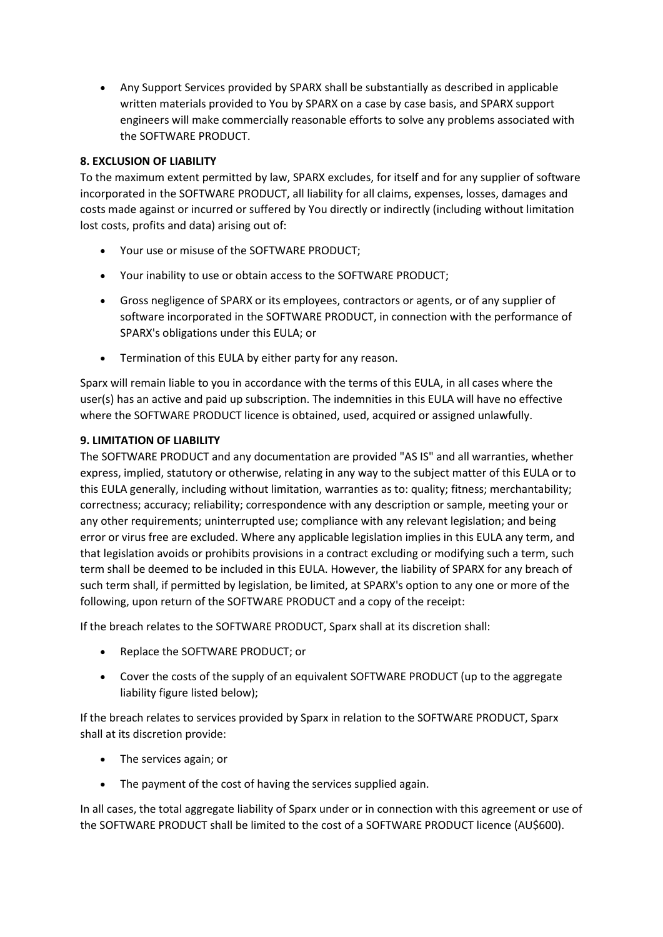• Any Support Services provided by SPARX shall be substantially as described in applicable written materials provided to You by SPARX on a case by case basis, and SPARX support engineers will make commercially reasonable efforts to solve any problems associated with the SOFTWARE PRODUCT.

# **8. EXCLUSION OF LIABILITY**

To the maximum extent permitted by law, SPARX excludes, for itself and for any supplier of software incorporated in the SOFTWARE PRODUCT, all liability for all claims, expenses, losses, damages and costs made against or incurred or suffered by You directly or indirectly (including without limitation lost costs, profits and data) arising out of:

- Your use or misuse of the SOFTWARE PRODUCT;
- Your inability to use or obtain access to the SOFTWARE PRODUCT;
- Gross negligence of SPARX or its employees, contractors or agents, or of any supplier of software incorporated in the SOFTWARE PRODUCT, in connection with the performance of SPARX's obligations under this EULA; or
- Termination of this EULA by either party for any reason.

Sparx will remain liable to you in accordance with the terms of this EULA, in all cases where the user(s) has an active and paid up subscription. The indemnities in this EULA will have no effective where the SOFTWARE PRODUCT licence is obtained, used, acquired or assigned unlawfully.

## **9. LIMITATION OF LIABILITY**

The SOFTWARE PRODUCT and any documentation are provided "AS IS" and all warranties, whether express, implied, statutory or otherwise, relating in any way to the subject matter of this EULA or to this EULA generally, including without limitation, warranties as to: quality; fitness; merchantability; correctness; accuracy; reliability; correspondence with any description or sample, meeting your or any other requirements; uninterrupted use; compliance with any relevant legislation; and being error or virus free are excluded. Where any applicable legislation implies in this EULA any term, and that legislation avoids or prohibits provisions in a contract excluding or modifying such a term, such term shall be deemed to be included in this EULA. However, the liability of SPARX for any breach of such term shall, if permitted by legislation, be limited, at SPARX's option to any one or more of the following, upon return of the SOFTWARE PRODUCT and a copy of the receipt:

If the breach relates to the SOFTWARE PRODUCT, Sparx shall at its discretion shall:

- Replace the SOFTWARE PRODUCT; or
- Cover the costs of the supply of an equivalent SOFTWARE PRODUCT (up to the aggregate liability figure listed below);

If the breach relates to services provided by Sparx in relation to the SOFTWARE PRODUCT, Sparx shall at its discretion provide:

- The services again; or
- The payment of the cost of having the services supplied again.

In all cases, the total aggregate liability of Sparx under or in connection with this agreement or use of the SOFTWARE PRODUCT shall be limited to the cost of a SOFTWARE PRODUCT licence (AU\$600).